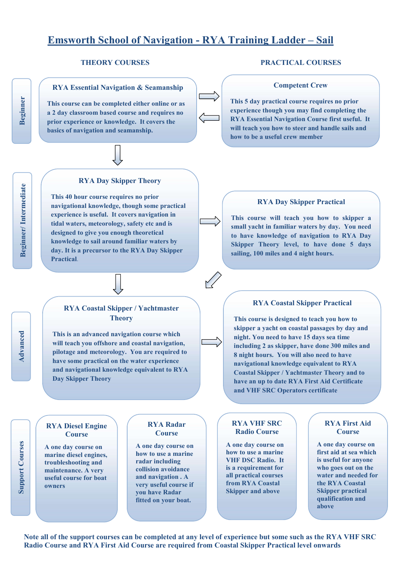# **Emsworth School of Navigation - RYA Training Ladder – Sail**

**RYA Essential Navigation & Seamanship** 

**This course can be completed either online or as a 2 day classroom based course and requires no prior experience or knowledge. It covers the basics of navigation and seamanship.** 



#### **RYA Day Skipper Theory**

**This 40 hour course requires no prior navigational knowledge, though some practical experience is useful. It covers navigation in tidal waters, meteorology, safety etc and is designed to give you enough theoretical knowledge to sail around familiar waters by day. It is a precursor to the RYA Day Skipper Practical**.

#### **THEORY COURSES PRACTICAL COURSES**

#### **Competent Crew**

**This 5 day practical course requires no prior experience though you may find completing the RYA Essential Navigation Course first useful. It will teach you how to steer and handle sails and how to be a useful crew member** 

#### **RYA Day Skipper Practical**

**This course will teach you how to skipper a small yacht in familiar waters by day. You need to have knowledge of navigation to RYA Day Skipper Theory level, to have done 5 days sailing, 100 miles and 4 night hours.** 

## **RYA Coastal Skipper / Yachtmaster Theory**

**This is an advanced navigation course which will teach you offshore and coastal navigation, pilotage and meteorology. You are required to have some practical on the water experience and navigational knowledge equivalent to RYA Day Skipper Theory** 

### **RYA Diesel Engine Course**

**A one day course on marine diesel engines, troubleshooting and maintenance. A very useful course for boat owners** 

#### **RYA Radar Course**

**A one day course on how to use a marine radar including collision avoidance and navigation . A very useful course if you have Radar fitted on your boat.** 

#### **RYA Coastal Skipper Practical**

**This course is designed to teach you how to skipper a yacht on coastal passages by day and night. You need to have 15 days sea time including 2 as skipper, have done 300 miles and 8 night hours. You will also need to have navigational knowledge equivalent to RYA Coastal Skipper / Yachtmaster Theory and to have an up to date RYA First Aid Certificate and VHF SRC Operators certificate** 

#### **RYA VHF SRC Radio Course**

**A one day course on how to use a marine VHF DSC Radio. It is a requirement for all practical courses from RYA Coastal Skipper and above** 

#### **RYA First Aid Course**

**A one day course on first aid at sea which is useful for anyone who goes out on the water and needed for the RYA Coastal Skipper practical qualification and above** 

**Support Courses**

**Support Courses** 

**Note all of the support courses can be completed at any level of experience but some such as the RYA VHF SRC Radio Course and RYA First Aid Course are required from Coastal Skipper Practical level onwards** 

**Beginner**